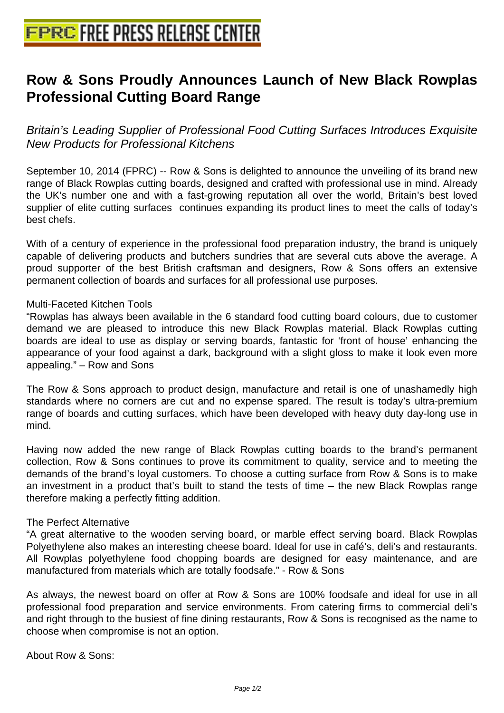# **[Row & Sons Proudly Announces](http://www.free-press-release-center.info) Launch of New Black Rowplas Professional Cutting Board Range**

Britain's Leading Supplier of Professional Food Cutting Surfaces Introduces Exquisite New Products for Professional Kitchens

September 10, 2014 (FPRC) -- Row & Sons is delighted to announce the unveiling of its brand new range of Black Rowplas cutting boards, designed and crafted with professional use in mind. Already the UK's number one and with a fast-growing reputation all over the world, Britain's best loved supplier of elite cutting surfaces continues expanding its product lines to meet the calls of today's best chefs.

With of a century of experience in the professional food preparation industry, the brand is uniquely capable of delivering products and butchers sundries that are several cuts above the average. A proud supporter of the best British craftsman and designers, Row & Sons offers an extensive permanent collection of boards and surfaces for all professional use purposes.

## Multi-Faceted Kitchen Tools

"Rowplas has always been available in the 6 standard food cutting board colours, due to customer demand we are pleased to introduce this new Black Rowplas material. Black Rowplas cutting boards are ideal to use as display or serving boards, fantastic for 'front of house' enhancing the appearance of your food against a dark, background with a slight gloss to make it look even more appealing." – Row and Sons

The Row & Sons approach to product design, manufacture and retail is one of unashamedly high standards where no corners are cut and no expense spared. The result is today's ultra-premium range of boards and cutting surfaces, which have been developed with heavy duty day-long use in mind.

Having now added the new range of Black Rowplas cutting boards to the brand's permanent collection, Row & Sons continues to prove its commitment to quality, service and to meeting the demands of the brand's loyal customers. To choose a cutting surface from Row & Sons is to make an investment in a product that's built to stand the tests of time – the new Black Rowplas range therefore making a perfectly fitting addition.

#### The Perfect Alternative

"A great alternative to the wooden serving board, or marble effect serving board. Black Rowplas Polyethylene also makes an interesting cheese board. Ideal for use in café's, deli's and restaurants. All Rowplas polyethylene food chopping boards are designed for easy maintenance, and are manufactured from materials which are totally foodsafe." - Row & Sons

As always, the newest board on offer at Row & Sons are 100% foodsafe and ideal for use in all professional food preparation and service environments. From catering firms to commercial deli's and right through to the busiest of fine dining restaurants, Row & Sons is recognised as the name to choose when compromise is not an option.

About Row & Sons: